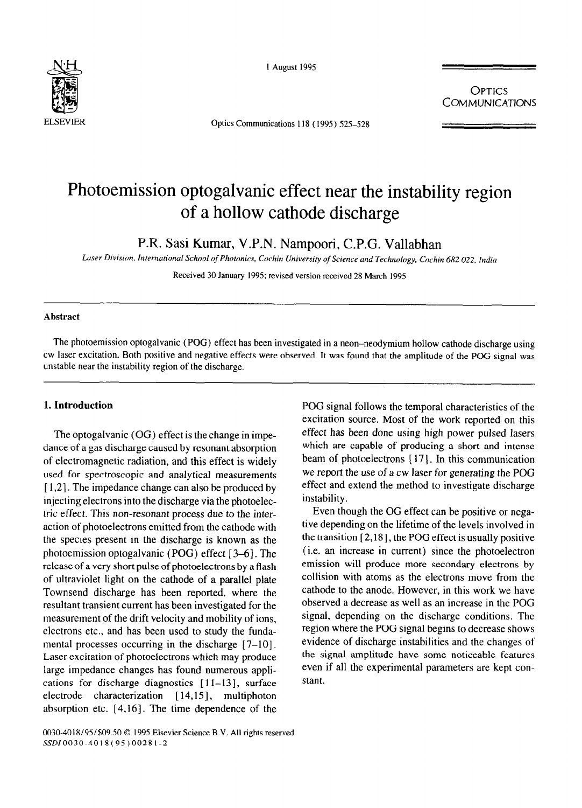

I August 1995

Optics Communications 118 (1995) 525-528

**OPTICS COMMUNICATIONS** 

# Photoemission optogalvanic effect near the instability region of a hollow cathode discharge

P.R. Sasi Kumar, V.P.N. Nampoori, C.P.G. Vallabhan

*Luer Division, International School of Photonics. Cochin University of Science and Technology. Cockin 682 022. hdiu* 

Received 30 January 1995; revised version received 28 March 1995

### **Abstract**

The photoemission optogalvanic (POG) effect has been investigated in a neon-neodymium hollow cathode discharge using cw laser excitation. Both positive and negative effects were observed. It was found that the amplitude of the PGG signal was unstable near the instability region of the discharge.

# **1. Introduction**

The optogalvanic (OG) effect is the change in impedance of a gas discharge caused by resonant absorption of electromagnetic radiation, and this effect is widely used for spectroscopic and analytical measurements [ 1,2]. The impedance change can also be produced by injecting electrons into the discharge via the photoelectric effect. This non-resonant process due to the interaction of photoelectrons emitted from the cathode with the species present in the discharge is known as the photoemission optogalvanic (POG) effect [3–6]. The release of a very short pulse of photoelectrons by a flash of ultraviolet light on the cathode of a parallel plate Townsend discharge has been reported, where the resultant transient current has been investigated for the measurement of the drift velocity and mobility of ions, electrons etc., and has been used to study the fundamental processes occurring in the discharge  $[7-10]$ . Laser excitation of photoelectrons which may produce large impedance changes has found numerous applications for discharge diagnostics  $[11-13]$ , surface electrode characterization [14,15], multiphoton absorption etc.  $[4,16]$ . The time dependence of the

POG signal follows the temporal characteristics of the excitation source. Most of the work reported on this effect has been done using high power pulsed lasers which are capable of producing a short and intense beam of photoelectrons [17]. In this communication we report the use of a cw laser for generating the POG effect and extend the method to investigate discharge instability.

Even though the OG effect can be positive or negative depending on the lifetime of the levels involved in the transition  $[2,18]$ , the POG effect is usually positive (i.e. an increase in current) since the photoelectron emission will produce more secondary electrons by collision with atoms as the electrons move from the cathode to the anode. However, in this work we have observed a decrease as well as an increase in the POG signal, depending on the discharge conditions. The region where the POG signal begins to decrease shows evidence of discharge instabilities and the changes of the signal amplitude have some noticeable features even if all the experimental parameters are kept constant.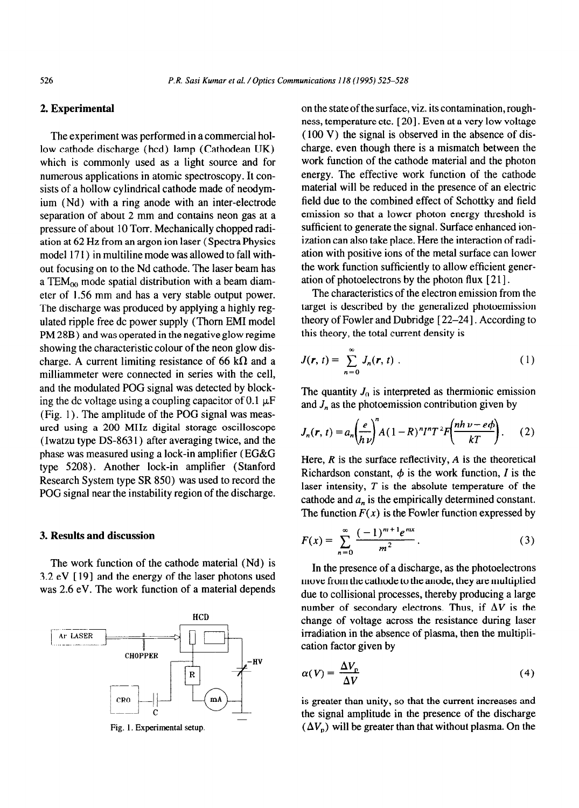# **2. Experimental**

The experiment was performed in a commercial hollow cathode discharge (hcd) lamp (Cathodean UK) which is commonly used as a light source and for numerous applications in atomic spectroscopy. It consists of a hollow cylindrical cathode made of neodymium (Nd) with a ring anode with an inter-electrode separation of about 2 mm and contains neon gas at a pressure of about 10 Torr. Mechanically chopped radiation at 62 Hz from an argon ion laser (Spectra Physics model 171) in multiline mode was allowed to fall without focusing on to the Nd cathode. The laser beam has a TEM $_{00}$  mode spatial distribution with a beam diameter of 1.56 mm and has a very stable output power. The discharge was produced by applying a highly regulated ripple free dc power supply (Thorn EM1 model PM 28B) and was operated in the negative glow regime showing the characteristic colour of the neon glow discharge. A current limiting resistance of 66 k $\Omega$  and a milliammeter were connected in series with the cell, and the modulated POG signal was detected by blocking the dc voltage using a coupling capacitor of 0.1  $\mu$ F (Fig. 1) **.** The amplitude of the POG signal was measured using a 200 MHz digital storage oscilloscope (Iwatzu type DS-863 1) after averaging twice, and the phase was measured using a lock-in amplifier (EC&G type 5208). Another lock-in amplifier (Stanford Research System type SR 850) was used to record the POG signal near the instability region of the discharge.

### 3. **Results and discussion**

The work function of the cathode material (Nd) is  $3.2$  eV  $[19]$  and the energy of the laser photons used was 2.6 eV. The work function of a material depends



**Fig. 1. Experimental setup.** 

on the state of the surface, viz. its contamination, roughness, temperature etc. [20]. Even at a very low voltage (100 V) the signal is observed in the absence of discharge, even though there is a mismatch between the work function of the cathode material and the photon energy. The effective work function of the cathode material will be reduced in the presence of an electric field due to the combined effect of Schottky and field emission so that a lower photon energy threshold is sufficient to generate the signal. Surface enhanced ionization can also take place. Here the interaction of radiation with positive ions of the metal surface can lower the work function sufficiently to allow efficient generation of photoelectrons by the photon flux  $[21]$ .

The characteristics of the electron emission from the target is described by the generalized photoemission theory of Fowler and Dubridge [22-24]. According to this theory, the total current density is

$$
J(r, t) = \sum_{n=0}^{\infty} J_n(r, t) \tag{1}
$$

The quantity  $J_0$  is interpreted as thermionic emission and  $J_n$  as the photoemission contribution given by

$$
J_n(r, t) = a_n \left(\frac{e}{h\nu}\right)^n A(1 - R)^n I^n T^2 F\left(\frac{nh\nu - e\phi}{kT}\right). \tag{2}
$$

Here, *R* is the surface reflectivity, *A* is the theoretical Richardson constant,  $\phi$  is the work function, I is the laser intensity, *T* is the absolute temperature of the cathode and  $a_n$  is the empirically determined constant. The function  $F(x)$  is the Fowler function expressed by

$$
F(x) = \sum_{n=0}^{\infty} \frac{(-1)^{m+1} e^{mx}}{m^2}.
$$
 (3)

In the presence of a discharge, as the photoelectrons move from the cathode to the anode, they are multiplied due to collisional processes, thereby producing a large number of secondary electrons. Thus, if  $\Delta V$  is the change of voltage across the resistance during laser irradiation in the absence of plasma, then the multiplication factor given by

$$
\alpha(V) = \frac{\Delta V_{\rm p}}{\Delta V} \tag{4}
$$

is greater than unity, so that the current increases and the signal amplitude in the presence of the discharge  $(\Delta V_p)$  will be greater than that without plasma. On the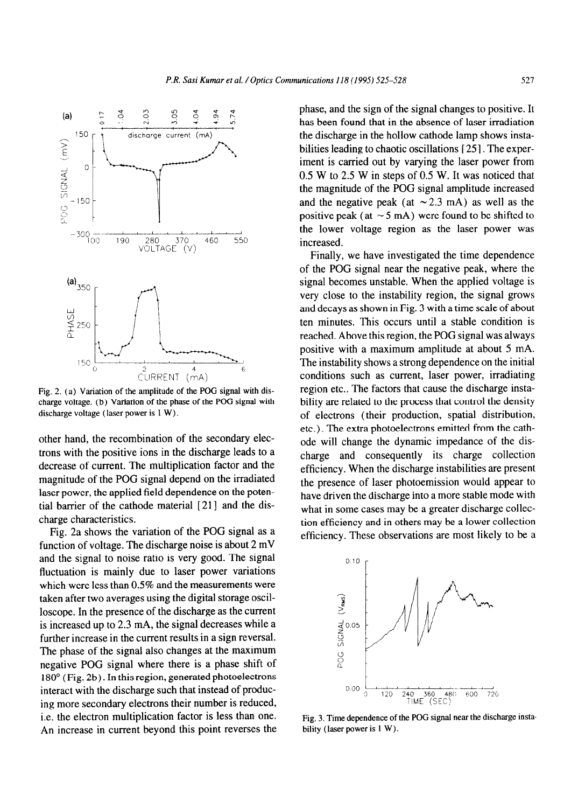

Fig. 2. (a) Variation of the amplitude of the POG signal with discharge voltage. (b) Variation of the phase of the POG signal with discharge voltage (laser power is 1 W).

other hand, the recombination of the secondary electrons with the positive ions in the discharge leads to a decrease of current. The multiplication factor and the magnitude of the POG signal depend on the irradiated laser power, the applied field dependence on the potential barrier of the cathode material [ 211 and the discharge characteristics.

Fig. 2a shows the variation of the POG signal as a function of voltage. The discharge noise is about 2 mV and the signal to noise ratio is very good. The signal fluctuation is mainly due to laser power variations which were less than 0.5% and the measurements were taken after two averages using the digital storage oscilloscope. In the presence of the discharge as the current is increased up to 2.3 mA, the signal decreases while a further increase in the current results in a sign reversal. The phase of the signal also changes at the maximum negative POG signal where there is a phase shift of 180" (Fig. 2b). In this region, generated photoelectrons interact with the discharge such that instead of producing more secondary electrons their number is reduced, i.e. the electron multiplication factor is less than one. An increase in current beyond this point reverses the phase, and the sign of the signal changes to positive. It has been found that in the absence of laser irradiation the discharge in the hollow cathode lamp shows instabilities leading to chaotic oscillations [25]. The experiment is carried out by varying the laser power from 0.5 W to 2.5 W in steps of 0.5 W. It was noticed that the magnitude of the POG signal amplitude increased and the negative peak (at  $\sim$  2.3 mA) as well as the positive peak (at  $\sim$  5 mA) were found to be shifted to the lower voltage region as the laser power was increased.

Finally, we have investigated the time dependence of the POG signal near the negative peak, where the signal becomes unstable. When the applied voltage is very close to the instability region, the signal grows and decays as shown in Fig. 3 with a time scale of about ten minutes. This occurs until a stable condition is reached. Above this region, the POG signal was always positive with a maximum amplitude at about 5 mA. The instability shows a strong dependence on the initial conditions such as current, laser power, irradiating region etc.. The factors that cause the discharge instability are related to the process that control the density of electrons (their production, spatial distribution, etc.). The extra photoelectrons emitted from the cathode will change the dynamic impedance of the discharge and consequently its charge collection efficiency. When the discharge instabilities are present the presence of laser photoemission would appear to have driven the discharge into a more stable mode with what in some cases may be a greater discharge collection efficiency and in others may be a lower collection efficiency. These observations are most likely to be a



Fig. 3. Time dependence of the POG signal near the discharge instability (laser power is 1 W).